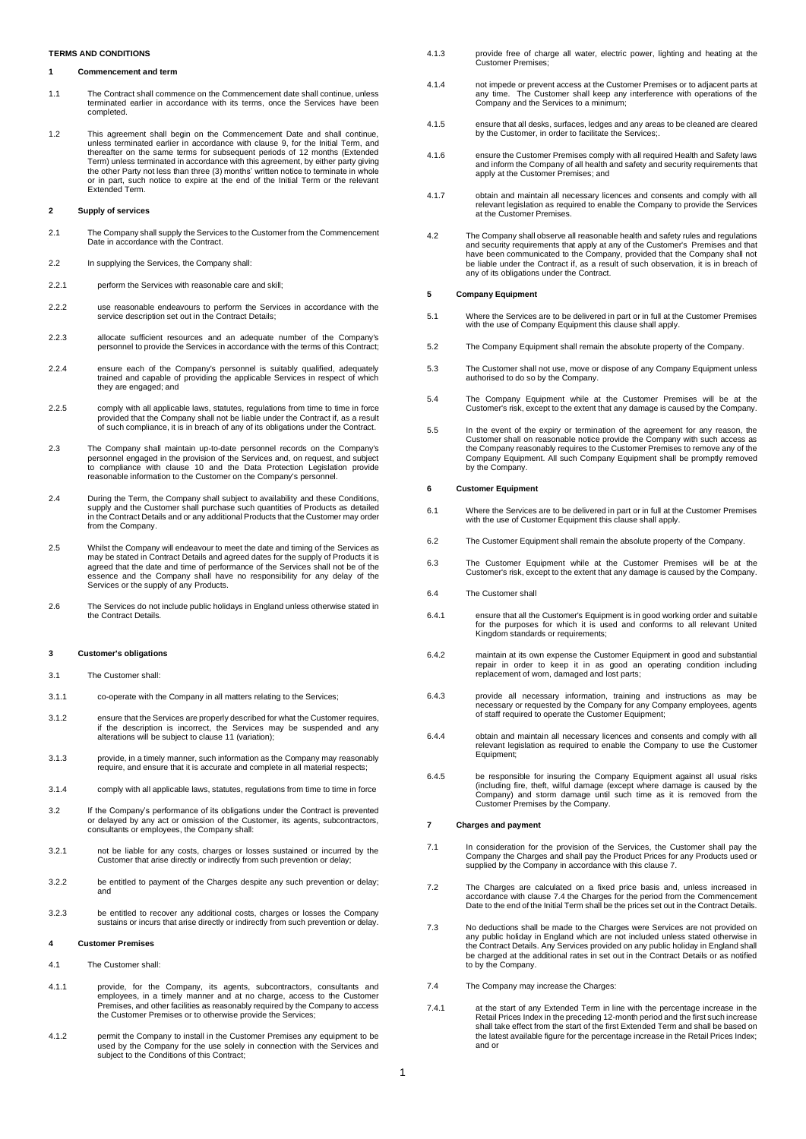# **TERMS AND CONDITIONS**

# <span id="page-0-5"></span>**1 Commencement and term**

- 1.1 The Contract shall commence on the Commencement date shall continue, unless terminated earlier in accordance with its terms, once the Services have been completed.
- 1.2 This agreement shall begin on the Commencement Date and shall continue, unless terminated earlier in accordance with clause [9,](#page-1-0) for the Initial Term, and thereafter on the same terms for subsequent periods of 12 months (Extended Term) unless terminated in accordance with this agreement, by either party giving the other Party not less than three (3) months' written notice to terminate in whole or in part, such notice to expire at the end of the Initial Term or the relevant Extended Term.

#### <span id="page-0-2"></span>**2 Supply of services**

- 2.1 The Company shall supply the Services to the Customer from the Commencement Date in accordance with the Contract.
- 2.2 In supplying the Services, the Company shall:
- 2.2.1 perform the Services with reasonable care and skill:
- 2.2.2 use reasonable endeavours to perform the Services in accordance with the service description set out in the Contract Details;
- 2.2.3 allocate sufficient resources and an adequate number of the Company's personnel to provide the Services in accordance with the terms of this Contract;
- 2.2.4 ensure each of the Company's personnel is suitably qualified, adequately trained and capable of providing the applicable Services in respect of which they are engaged; and
- 2.2.5 comply with all applicable laws, statutes, regulations from time to time in force provided that the Company shall not be liable under the Contract if, as a result of such compliance, it is in breach of any of its obligations under the Contract.
- 2.3 The Company shall maintain up-to-date personnel records on the Company's personnel engaged in the provision of the Services and, on request, and subject to compliance with clause [10](#page-1-1) and the Data Protection Legislation provide reasonable information to the Customer on the Company's personnel.
- 2.4 During the Term, the Company shall subject to availability and these Conditions, supply and the Customer shall purchase such quantities of Products as detailed in the Contract Details and or any additional Products that the Customer may order from the Company.
- 2.5 Whilst the Company will endeavour to meet the date and timing of the Services as may be stated in Contract Details and agreed dates for the supply of Products it is agreed that the date and time of performance of the Services shall not be of the essence and the Company shall have no responsibility for any delay of the Services or the supply of any Products.
- 2.6 The Services do not include public holidays in England unless otherwise stated in the Contract Details.

#### **3 Customer's obligations**

- 3.1 The Customer shall:
- 3.1.1 co-operate with the Company in all matters relating to the Services;
- 3.1.2 ensure that the Services are properly described for what the Customer requires, if the description is incorrect, the Services may be suspended and any alterations will be subject to clause 11 (variation);
- 3.1.3 provide, in a timely manner, such information as the Company may reasonably require, and ensure that it is accurate and complete in all material respects;
- <span id="page-0-3"></span>3.1.4 comply with all applicable laws, statutes, regulations from time to time in force
- 3.2 If the Company's performance of its obligations under the Contract is prevented or delayed by any act or omission of the Customer, its agents, subcontractors, consultants or employees, the Company shall:
- 3.2.1 not be liable for any costs, charges or losses sustained or incurred by the Customer that arise directly or indirectly from such prevention or delay;
- 3.2.2 be entitled to payment of the Charges despite any such prevention or delay; and
- 3.2.3 be entitled to recover any additional costs, charges or losses the Company sustains or incurs that arise directly or indirectly from such prevention or delay.

# **4 Customer Premises**

- <span id="page-0-4"></span>4.1 The Customer shall:
- 4.1.1 provide, for the Company, its agents, subcontractors, consultants and employees, in a timely manner and at no charge, access to the Customer Premises, and other facilities as reasonably required by the Company to access the Customer Premises or to otherwise provide the Services;
- 4.1.2 permit the Company to install in the Customer Premises any equipment to be used by the Company for the use solely in connection with the Services and subject to the Conditions of this Contract;
- 4.1.3 provide free of charge all water, electric power, lighting and heating at the Customer Premises;
- 4.1.4 not impede or prevent access at the Customer Premises or to adjacent parts at any time. The Customer shall keep any interference with operations of the Company and the Services to a minimum;
- 4.1.5 ensure that all desks, surfaces, ledges and any areas to be cleaned are cleared by the Customer, in order to facilitate the Services;.
- 4.1.6 ensure the Customer Premises comply with all required Health and Safety laws and inform the Company of all health and safety and security requirements that apply at the Customer Premises: and
- 4.1.7 obtain and maintain all necessary licences and consents and comply with all relevant legislation as required to enable the Company to provide the Services at the Customer Premises.
- 4.2 The Company shall observe all reasonable health and safety rules and regulations and security requirements that apply at any of the Customer's Premises and that<br>have been communicated to the Company, provided that the Company shall not<br>be liable under the Contract if, as a result of such observation, i any of its obligations under the Contract.

### **5 Company Equipment**

- 5.1 Where the Services are to be delivered in part or in full at the Customer Premises with the use of Company Equipment this clause shall apply.
- 5.2 The Company Equipment shall remain the absolute property of the Company.
- 5.3 The Customer shall not use, move or dispose of any Company Equipment unless authorised to do so by the Company.
- 5.4 The Company Equipment while at the Customer Premises will be at the Customer's risk, except to the extent that any damage is caused by the Company.
- 5.5 In the event of the expiry or termination of the agreement for any reason, the<br>Customer shall on reasonable notice provide the Company with such access as<br>the Company reasonably requires to the Customer Premises to rem Company Equipment. All such Company Equipment shall be promptly removed by the Company.

## **6 Customer Equipment**

- 6.1 Where the Services are to be delivered in part or in full at the Customer Premises with the use of Customer Equipment this clause shall apply.
- 6.2 The Customer Equipment shall remain the absolute property of the Company.
- 6.3 The Customer Equipment while at the Customer Premises will be at the Customer's risk, except to the extent that any damage is caused by the Company.
- 6.4 The Customer shall
- 6.4.1 ensure that all the Customer's Equipment is in good working order and suitable for the purposes for which it is used and conforms to all relevant United Kingdom standards or requirements;
- 6.4.2 maintain at its own expense the Customer Equipment in good and substantial repair in order to keep it in as good an operating condition including replacement of worn, damaged and lost parts;
- 6.4.3 provide all necessary information, training and instructions as may be necessary or requested by the Company for any Company employees, agents of staff required to operate the Customer Equipment;
- 6.4.4 obtain and maintain all necessary licences and consents and comply with all relevant legislation as required to enable the Company to use the Customer Equipment;
- 6.4.5 be responsible for insuring the Company Equipment against all usual risks<br>(including fire, theft, wilful damage (except where damage is caused by the<br>Company) and storm damage until such time as it is removed from th Customer Premises by the Company.

#### <span id="page-0-0"></span>**7 Charges and payment**

- 7.1 In consideration for the provision of the Services, the Customer shall pay the Company the Charges and shall pay the Product Prices for any Products used or supplied by the Company in accordance with this claus[e 7.](#page-0-0)
- 7.2 The Charges are calculated on a fixed price basis and, unless increased in accordance with claus[e 7.4](#page-0-1) the Charges for the period from the Commencement Date to the end of the Initial Term shall be the prices set out in the Contract Details.
- 7.3 No deductions shall be made to the Charges were Services are not provided on any public holiday in England which are not included unless stated otherwise in<br>the Contract Details. Any Services provided on any public holiday in England shall<br>be charged at the additional rates in set out in the Contra to by the Company.
- <span id="page-0-1"></span>7.4 The Company may increase the Charges:
- 7.4.1 at the start of any Extended Term in line with the percentage increase in the Retail Prices Index in the preceding 12-month period and the first such increase shall take effect from the start of the first Extended Term and shall be based on the latest available figure for the percentage increase in the Retail Prices Index; and or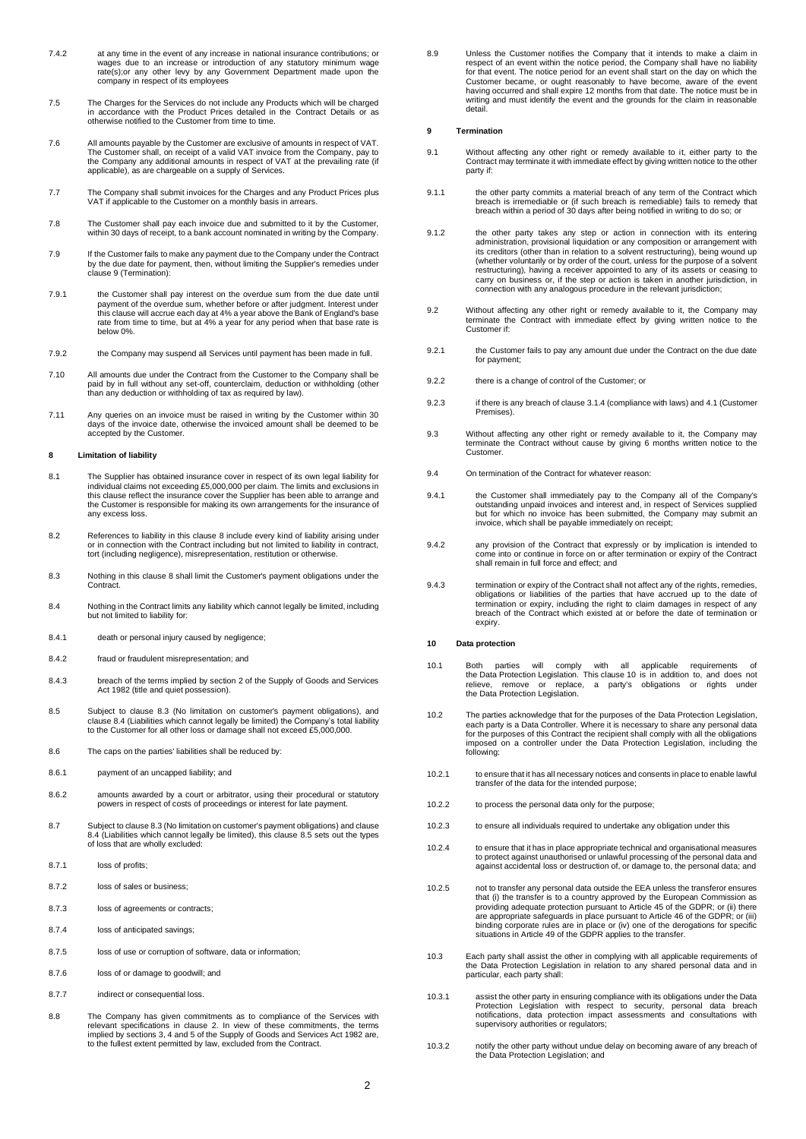- 7.4.2 at any time in the event of any increase in national insurance contributions; or wages due to an increase or introduction of any statutory minimum wage rate(s);or any other levy by any Government Department made upon the company in respect of its employees
- 7.5 The Charges for the Services do not include any Products which will be charged in accordance with the Product Prices detailed in the Contract Details or as otherwise notified to the Customer from time to time.
- 7.6 All amounts payable by the Customer are exclusive of amounts in respect of VAT.<br>The Customer shall, on receipt of a valid VAT invoice from the Company, pay to<br>the Company any additional amounts in respect of VAT at the
- 7.7 The Company shall submit invoices for the Charges and any Product Prices plus VAT if applicable to the Customer on a monthly basis in arrears.
- 7.8 The Customer shall pay each invoice due and submitted to it by the Customer, within 30 days of receipt, to a bank account nominated in writing by the Company.
- 7.9 If the Customer fails to make any payment due to the Company under the Contract by the due date for payment, then, without limiting the Supplier's remedies under claus[e 9](#page-1-0) (Termination):
- 7.9.1 the Customer shall pay interest on the overdue sum from the due date until payment of the overdue sum, whether before or after judgment. Interest under this clause will accrue each day at 4% a year above the Bank of England's base rate from time to time, but at 4% a year for any period when that base rate is below 0%.
- 7.9.2 the Company may suspend all Services until payment has been made in full.
- 7.10 All amounts due under the Contract from the Customer to the Company shall be paid by in full without any set-off, counterclaim, deduction or withholding (other than any deduction or withholding of tax as required by law).
- 7.11 Any queries on an invoice must be raised in writing by the Customer within 30 days of the invoice date, otherwise the invoiced amount shall be deemed to be accepted by the Customer.

#### <span id="page-1-2"></span>**8 Limitation of liability**

- 8.1 The Supplier has obtained insurance cover in respect of its own legal liability for individual claims not exceeding £5,000,000 per claim. The limits and exclusions in this clause reflect the insurance cover the Supplier has been able to arrange and the Customer is responsible for making its own arrangements for the insurance of any excess loss.
- 8.2 References to liability in this clause [8](#page-1-2) include every kind of liability arising under<br>or in connection with the Contract including but not limited to liability in contract,<br>tort (including negligence), misrepresentati
- <span id="page-1-3"></span>8.3 Nothing in this claus[e 8](#page-1-2) shall limit the Customer's payment obligations under the Contract.
- <span id="page-1-4"></span>8.4 Nothing in the Contract limits any liability which cannot legally be limited, including but not limited to liability for:
- 8.4.1 death or personal injury caused by negligence;
- 8.4.2 fraud or fraudulent misrepresentation; and
- 8.4.3 breach of the terms implied by section 2 of the Supply of Goods and Services Act 1982 (title and quiet possession).
- 8.5 Subject to clause [8.3](#page-1-3) (No limitation on customer's payment obligations), and claus[e 8.4](#page-1-4) (Liabilities which cannot legally be limited) the Company's total liability to the Customer for all other loss or damage shall not exceed £5,000,000.
- 8.6 The caps on the parties' liabilities shall be reduced by:
- 8.6.1 payment of an uncapped liability; and
- 8.6.2 amounts awarded by a court or arbitrator, using their procedural or statutory powers in respect of costs of proceedings or interest for late payment.
- 8.7 Subject to claus[e 8.3](#page-1-3) (No limitation on customer's payment obligations) and clause<br>[8.4](#page-1-4) (Liabilities which cannot legally be limited), this clause [8.5](#page-1-5) sets out the types<br>of loss that are wholly excluded:
- 8.7.1 loss of profits;
- 8.7.2 loss of sales or business;
- 8.7.3 loss of agreements or contracts;
- 8.7.4 loss of anticipated savings;
- 8.7.5 loss of use or corruption of software, data or information;
- 8.7.6 loss of or damage to goodwill; and
- 8.7.7 indirect or consequential loss.
- 8.8 The Company has given commitments as to compliance of the Services with relevant specifications in clause [2.](#page-0-2) In view of these commitments, the terms implied by sections 3, 4 and 5 of the Supply of Goods and Services Act 1982 are, to the fullest extent permitted by law, excluded from the Contract.

8.9 Unless the Customer notifies the Company that it intends to make a claim in respect of an event within the notice period, the Company shall have no liability for that event. The notice period for an event shall start on the day on which the Customer became, or ought reasonably to have become, aware of the event having occurred and shall expire 12 months from that date. The notice must be in writing and must identify the event and the grounds for the claim in reasonable detail.

#### <span id="page-1-0"></span>**9 Termination**

- 9.1 Without affecting any other right or remedy available to it, either party to the Contract may terminate it with immediate effect by giving written notice to the other party if:
- 9.1.1 the other party commits a material breach of any term of the Contract which breach is irremediable or (if such breach is remediable) fails to remedy that breach within a period of 30 days after being notified in writing to do so; or
- 9.1.2 the other party takes any step or action in connection with its entering administration, provisional liquidation or any composition or arrangement with its creditors (other than in relation to a solvent restructuring), being wound up (whether voluntarily or by order of the court, unless for the purpose of a solvent restructuring), having a receiver appointed to any of its assets or ceasing to carry on business or, if the step or action is taken in another jurisdiction, in connection with any analogous procedure in the relevant jurisdiction;
- 9.2 Without affecting any other right or remedy available to it, the Company may terminate the Contract with immediate effect by giving written notice to the Customer if:
- 9.2.1 the Customer fails to pay any amount due under the Contract on the due date for payment;
- 9.2.2 there is a change of control of the Customer; or
- 9.2.3 if there is any breach of claus[e 3.1.4](#page-0-3) (compliance with laws) an[d 4.1](#page-0-4) (Customer Premises).
- 9.3 Without affecting any other right or remedy available to it, the Company may terminate the Contract without cause by giving 6 months written notice to the Customer.
- 9.4 On termination of the Contract for whatever reason:
- 9.4.1 the Customer shall immediately pay to the Company all of the Company's<br>outstanding unpaid invoices and interest and, in respect of Services supplied<br>but for which no invoice has been submitted, the Company may submit invoice, which shall be payable immediately on receipt;
- 9.4.2 any provision of the Contract that expressly or by implication is intended to come into or continue in force on or after termination or expiry of the Contract shall remain in full force and effect; and
- 9.4.3 termination or expiry of the Contract shall not affect any of the rights, remedies, obligations or liabilities of the parties that have accrued up to the date of termination or expiry, including the right to claim damages in respect of any breach of the Contract which existed at or before the date of termination or expiry.

### <span id="page-1-1"></span>**10 Data protection**

- 10.1 Both parties will comply with all applicable requirements of the Data Protection Legislation. This clause [10](#page-1-1) is in addition to, and does not relieve, remove or replace, a party's obligations or rights under the Data Protection Legislation.
- <span id="page-1-5"></span>10.2 The parties acknowledge that for the purposes of the Data Protection Legislation, each party is a Data Controller. Where it is necessary to share any personal data for the purposes of this Contract the recipient shall comply with all the obligations imposed on a controller under the Data Protection Legislation, including the following:
- 10.2.1 to ensure that it has all necessary notices and consents in place to enable lawful transfer of the data for the intended purpose;
- 10.2.2 to process the personal data only for the purpose;
- 10.2.3 to ensure all individuals required to undertake any obligation under this
- 10.2.4 to ensure that it has in place appropriate technical and organisational measures to protect against unauthorised or unlawful processing of the personal data and against accidental loss or destruction of, or damage to, the personal data; and
- 10.2.5 not to transfer any personal data outside the EEA unless the transferor ensures that (i) the transfer is to a country approved by the European Commission as<br>providing adequate protection pursuant to Article 45 of the GDPR; or (ii) there<br>are appropriate safeguards in place pursuant to Article 46 of the binding corporate rules are in place or (iv) one of the derogations for specific situations in Article 49 of the GDPR applies to the transfer.
- 10.3 Each party shall assist the other in complying with all applicable requirements of the Data Protection Legislation in relation to any shared personal data and in particular, each party shall:
- 10.3.1 assist the other party in ensuring compliance with its obligations under the Data Protection Legislation with respect to security, personal data breach notifications, data protection impact assessments and consultations with supervisory authorities or regulators;
- 10.3.2 notify the other party without undue delay on becoming aware of any breach of the Data Protection Legislation; and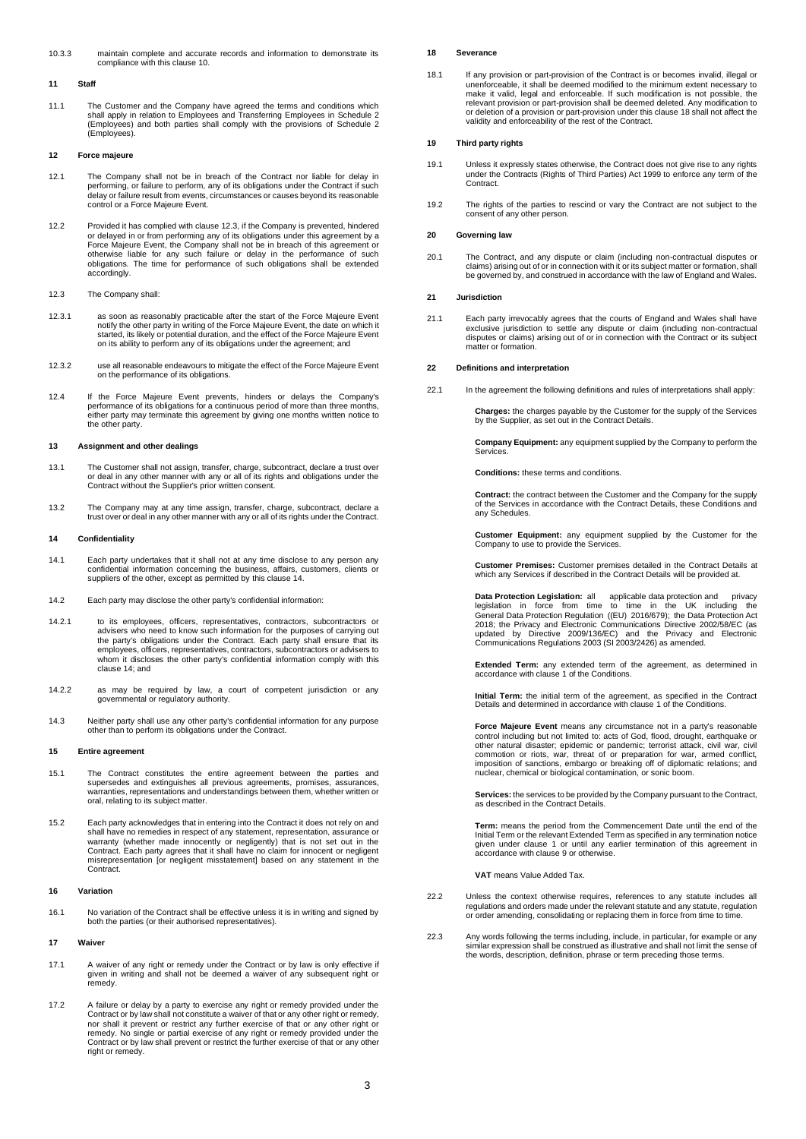10.3.3 maintain complete and accurate records and information to demonstrate its compliance with this clause [10.](#page-1-1)

## **11 Staff**

11.1 The Customer and the Company have agreed the terms and conditions which shall apply in relation to Employees and Transferring Employees in Schedule 2 (Employees) and both parties shall comply with the provisions of Schedule 2 (Employees).

# **12 Force majeure**

- 12.1 The Company shall not be in breach of the Contract nor liable for delay in performing, or failure to perform, any of its obligations under the Contract if such delay or failure result from events, circumstances or causes beyond its reasonable control or a Force Majeure Event.
- 12.2 Provided it has complied with claus[e 12.3,](#page-2-0) if the Company is prevented, hindered or delayed in or from performing any of its obligations under this agreement by a Force Majeure Event, the Company shall not be in breach of this agreement or<br>otherwise liable for any such failure or delay in the performance of such<br>obligations. The time for performance of such obligations shall be exte accordingly.
- <span id="page-2-0"></span>12.3 The Company shall:
- 12.3.1 as soon as reasonably practicable after the start of the Force Majeure Event notify the other party in writing of the Force Majeure Event, the date on which it started, its likely or potential duration, and the effect of the Force Majeure Event on its ability to perform any of its obligations under the agreement; and
- 12.3.2 use all reasonable endeavours to mitigate the effect of the Force Majeure Event on the performance of its obligations.
- 12.4 If the Force Majeure Event prevents, hinders or delays the Company's<br>performance of its obligations for a continuous period of more than three months,<br>either party may terminate this agreement by giving one months wri the other party.

### **13 Assignment and other dealings**

- 13.1 The Customer shall not assign, transfer, charge, subcontract, declare a trust over or deal in any other manner with any or all of its rights and obligations under the Contract without the Supplier's prior written consent.
- 13.2 The Company may at any time assign, transfer, charge, subcontract, declare a trust over or deal in any other manner with any or all of its rights under the Contract.

### <span id="page-2-1"></span>**14 Confidentiality**

- 14.1 Each party undertakes that it shall not at any time disclose to any person any<br>confidential information concerning the business, affairs, customers, clients or<br>suppliers of the other, except as permitted by this claus
- 14.2 Each party may disclose the other party's confidential information:
- 14.2.1 to its employees, officers, representatives, contractors, subcontractors or advisers who need to know such information for the purposes of carrying out the party's obligations under the Contract. Each party shall ensure that its employees, officers, representatives, contractors, subcontractors or advisers to whom it discloses the other party's confidential information comply with this claus[e 14;](#page-2-1) and
- 14.2.2 as may be required by law, a court of competent jurisdiction or any governmental or regulatory authority.
- 14.3 Neither party shall use any other party's confidential information for any purpose other than to perform its obligations under the Contract.

## **15 Entire agreement**

- 15.1 The Contract constitutes the entire agreement between the parties and supersedes and extinguishes all previous agreements, promises, assurances, warranties, representations and understandings between them, whether written or oral, relating to its subject matter.
- 15.2 Each party acknowledges that in entering into the Contract it does not rely on and shall have no remedies in respect of any statement, representation, assurance or warranty (whether made innocently or negligently) that is not set out in the Contract. Each party agrees that it shall have no claim for innocent or negligent misrepresentation [or negligent misstatement] based on any statement in the Contract.

### **16 Variation**

16.1 No variation of the Contract shall be effective unless it is in writing and signed by both the parties (or their authorised representatives).

#### **17 Waiver**

- 17.1 A waiver of any right or remedy under the Contract or by law is only effective if given in writing and shall not be deemed a waiver of any subsequent right or remedy.
- 17.2 A failure or delay by a party to exercise any right or remedy provided under the Contract or by law shall not constitute a waiver of that or any other right or remedy, nor shall it prevent or restrict any further exercise of that or any other right or remedy. No single or partial exercise of any right or remedy provided under the Contract or by law shall prevent or restrict the further exercise of that or any other right or remedy.

# <span id="page-2-2"></span>**18 Severance**

18.1 If any provision or part-provision of the Contract is or becomes invalid, illegal or unenforceable, it shall be deemed modified to the minimum extent necessary to make it valid, legal and enforceable. If such modification is not possible, the relevant provision or part-provision shall be deemed deleted. Any modification to or deletion of a provision or part-provision under this claus[e 18](#page-2-2) shall not affect the validity and enforceability of the rest of the Contract.

# **19 Third party rights**

- 19.1 Unless it expressly states otherwise, the Contract does not give rise to any rights under the Contracts (Rights of Third Parties) Act 1999 to enforce any term of the Contract.
- 19.2 The rights of the parties to rescind or vary the Contract are not subject to the consent of any other person.

# **20 Governing law**

20.1 The Contract, and any dispute or claim (including non-contractual disputes or claims) arising out of or in connection with it or its subject matter or formation, shall be governed by, and construed in accordance with the law of England and Wales.

### **21 Jurisdiction**

21.1 Each party irrevocably agrees that the courts of England and Wales shall have exclusive jurisdiction to settle any dispute or claim (including non-contractual disputes or claims) arising out of or in connection with the Contract or its subject matter or formation.

# **22 Definitions and interpretation**

22.1 In the agreement the following definitions and rules of interpretations shall apply:

**Charges:** the charges payable by the Customer for the supply of the Services by the Supplier, as set out in the Contract Details.

**Company Equipment:** any equipment supplied by the Company to perform the Services.

**Conditions:** these terms and conditions.

**Contract:** the contract between the Customer and the Company for the supply of the Services in accordance with the Contract Details, these Conditions and any Schedules.

**Customer Equipment:** any equipment supplied by the Customer for the Company to use to provide the Services.

**Customer Premises:** Customer premises detailed in the Contract Details at which any Services if described in the Contract Details will be provided at.

Data Protection Legislation: all applicable data protection and privacy<br>legislation in force from time to time in the UK including the<br>General Data Protection Regulation ((EU) 2016/679); the Data Protection Act 2018; the Privacy and Electronic Communications Directive 2002/58/EC (as updated by Directive 2009/136/EC) and the Privacy and Electronic Communications Regulations 2003 (SI 2003/2426) as amended.

**Extended Term:** any extended term of the agreement, as determined in accordance with claus[e 1](#page-0-5) of the Conditions.

**Initial Term:** the initial term of the agreement, as specified in the Contract Details and determined in accordance with claus[e 1](#page-0-5) of the Conditions.

**Force Majeure Event** means any circumstance not in a party's reasonable control including but not limited to: acts of God, flood, drought, earthquake or other natural disaster; epidemic or pandemic; terrorist attack, civil war, civil<br>commotion or riots, war, threat of or preparation for war, armed conflict,<br>imposition of sanctions, embargo or breaking off of diplomatic rel nuclear, chemical or biological contamination, or sonic boom.

**Services:** the services to be provided by the Company pursuant to the Contract, as described in the Contract Details.

**Term:** means the period from the Commencement Date until the end of the Initial Term or the relevant Extended Term as specified in any termination notice given under clause [1](#page-0-5) or until any earlier termination of this agreement in accordance with claus[e 9](#page-1-0) or otherwise.

**VAT** means Value Added Tax.

- 22.2 Unless the context otherwise requires, references to any statute includes all regulations and orders made under the relevant statute and any statute, regulation or order amending, consolidating or replacing them in force from time to time.
- 22.3 Any words following the terms including, include, in particular, for example or any similar expression shall be construed as illustrative and shall not limit the sense of the words, description, definition, phrase or term preceding those terms.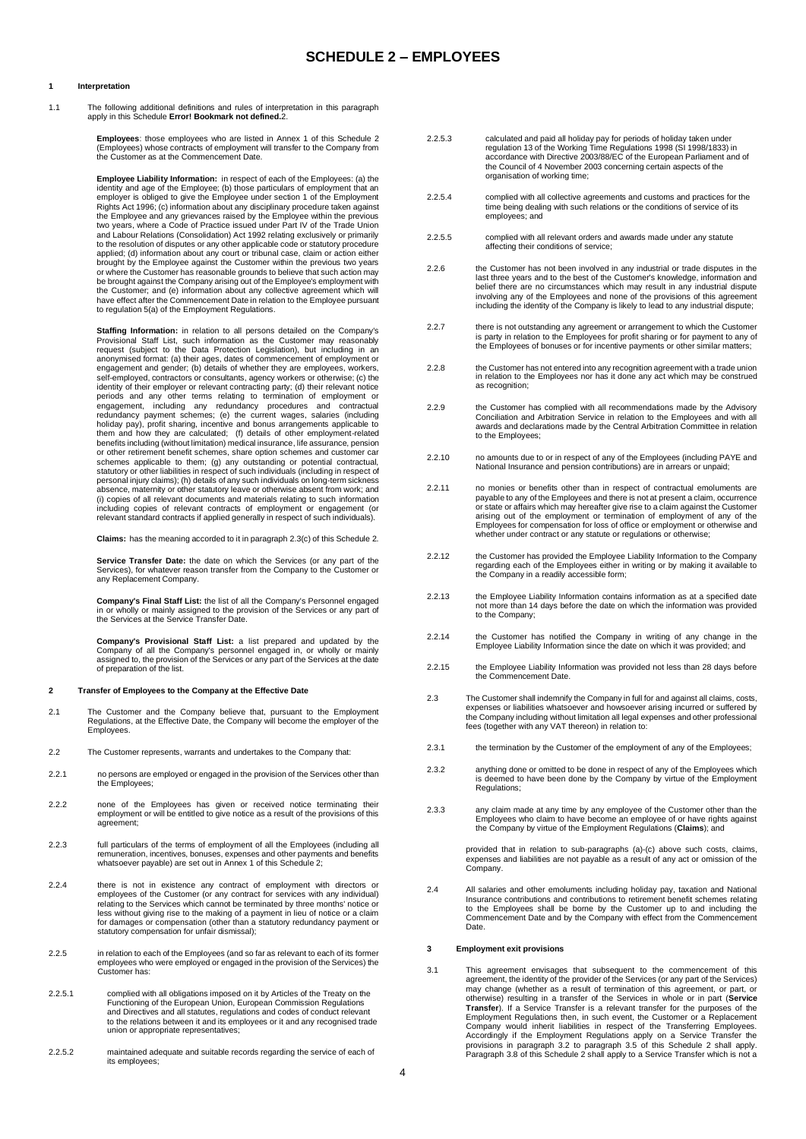# **1 Interpretation**

1.1 The following additional definitions and rules of interpretation in this paragraph apply in this Schedule **Error! Bookmark not defined.**2.

**Employees**: those employees who are listed in Annex 1 of this Schedule 2<br>(Employees) whose contracts of employment will transfer to the Company from<br>the Customer as at the Commencement Date.

**Employee Liability Information:** in respect of each of the Employees: (a) the identity and age of the Employee; (b) those particulars of employment that an employer is obliged to give the Employee under section 1 of the Employment Rights Act 1996; (c) information about any disciplinary procedure taken against<br>the Employee and any grievances raised by the Employee within the previous<br>two years, where a Code of Practice issued under Part IV of the Tra and Labour Relations (Consolidation) Act 1992 relating exclusively or primarily to the resolution of disputes or any other applicable code or statutory procedure applied; (d) information about any court or tribunal case, claim or action either brought by the Employee against the Customer within the previous two years or where the Customer has reasonable grounds to believe that such action may be brought against the Company arising out of the Employee's employment with the Customer; and (e) information about any collective agreement which will have effect after the Commencement Date in relation to the Employee pursuant to regulation 5(a) of the Employment Regulations.

**Staffing Information:** in relation to all persons detailed on the Company's Provisional Staff List, such information as the Customer may reasonably request (subject to the Data Protection Legislation), but including in an anonymised format: (a) their ages, dates of commencement of employment or engagement and gender; (b) details of whether they are employees, workers, self-employed, contractors or consultants, agency workers or otherwise; (c) the identity of their employer or relevant contracting party; (d) their relevant notice periods and any other terms relating to termination of employment or<br>engagement, including any redundancy procedures and contractual<br>redundancy payment schemes; (e) the current wages, salaries (including holiday pay), profit sharing, incentive and bonus arrangements applicable to them and how they are calculated; (f) details of other employment-related benefits including (without limitation) medical insurance, life assurance, pension or other retirement benefit schemes, share option schemes and customer car schemes applicable to them; (g) any outstanding or potential contractual,<br>statutory or other liabilities in respect of such individuals (including in respect of<br>personal injury claims); (h) details of any such individuals absence, maternity or other statutory leave or otherwise absent from work; and (i) copies of all relevant documents and materials relating to such information<br>including copies of relevant contracts of employment or engagement (or<br>relevant standard contracts if applied generally in respect of such ind

**Claims:** has the meaning accorded to it in paragraph 2.3(c) of this Schedule 2.

**Service Transfer Date:** the date on which the Services (or any part of the Services), for whatever reason transfer from the Company to the Customer or any Replacement Company.

**Company's Final Staff List:** the list of all the Company's Personnel engaged in or wholly or mainly assigned to the provision of the Services or any part of the Services at the Service Transfer Date.

**Company's Provisional Staff List:** a list prepared and updated by the Company of all the Company's personnel engaged in, or wholly or mainly assigned to, the provision of the Services or any part of the Services at the da

## **2 Transfer of Employees to the Company at the Effective Date**

- 2.1 The Customer and the Company believe that, pursuant to the Employment Regulations, at the Effective Date, the Company will become the employer of the Employees.
- 2.2 The Customer represents, warrants and undertakes to the Company that:
- 2.2.1 no persons are employed or engaged in the provision of the Services other than the Employees;
- 2.2.2 none of the Employees has given or received notice terminating their employment or will be entitled to give notice as a result of the provisions of this agreement:
- 2.2.3 full particulars of the terms of employment of all the Employees (including all remuneration, incentives, bonuses, expenses and other payments and benefits whatsoever payable) are set out in Annex 1 of this Schedule 2:
- 2.2.4 there is not in existence any contract of employment with directors or employees of the Customer (or any contract for services with any individual) relating to the Services which cannot be terminated by three months' notice or less without giving rise to the making of a payment in lieu of notice or a claim for damages or compensation (other than a statutory redundancy payment or statutory compensation for unfair dismissal);
- 2.2.5 in relation to each of the Employees (and so far as relevant to each of its former employees who were employed or engaged in the provision of the Services) the Customer has:
- 2.2.5.1 complied with all obligations imposed on it by Articles of the Treaty on the Functioning of the European Union, European Commission Regulations and Directives and all statutes, regulations and codes of conduct relevant to the relations between it and its employees or it and any recognised trade union or appropriate representatives;
- 2.2.5.2 maintained adequate and suitable records regarding the service of each of its employees;
- 2.2.5.3 calculated and paid all holiday pay for periods of holiday taken under regulation 13 of the Working Time Regulations 1998 (SI 1998/1833) in accordance with Directive 2003/88/EC of the European Parliament and of the Council of 4 November 2003 concerning certain aspects of the organisation of working time;
- 2.2.5.4 complied with all collective agreements and customs and practices for the time being dealing with such relations or the conditions of service of its employees; and
- 2.2.5.5 complied with all relevant orders and awards made under any statute affecting their conditions of service;
- 2.2.6 the Customer has not been involved in any industrial or trade disputes in the last three years and to the best of the Customer's knowledge, information and belief there are no circumstances which may result in any industrial dispute involving any of the Employees and none of the provisions of this agreement including the identity of the Company is likely to lead to any industrial dispute;
- there is not outstanding any agreement or arrangement to which the Customer<br>is party in relation to the Employees for profit sharing or for payment to any of<br>the Employees of bonuses or for incentive payments or other simi
- 2.2.8 the Customer has not entered into any recognition agreement with a trade union in relation to the Employees nor has it done any act which may be construed as recognition;
- 2.2.9 the Customer has complied with all recommendations made by the Advisory Conciliation and Arbitration Service in relation to the Employees and with all awards and declarations made by the Central Arbitration Committee in relation to the Employees;
- 2.2.10 no amounts due to or in respect of any of the Employees (including PAYE and National Insurance and pension contributions) are in arrears or unpaid;
- no monies or benefits other than in respect of contractual emoluments are<br>payable to any of the Employees and there is not at present a claim, occurrence<br>or state or affairs which may hereafter give rise to a claim against arising out of the employment or termination of employment of any of the Employees for compensation for loss of office or employment or otherwise and whether under contract or any statute or regulations or otherwise;
- 2.2.12 the Customer has provided the Employee Liability Information to the Company regarding each of the Employees either in writing or by making it available to the Company in a readily accessible form;
- 2.2.13 the Employee Liability Information contains information as at a specified date not more than 14 days before the date on which the information was provided to the Company;
- 2.2.14 the Customer has notified the Company in writing of any change in the Employee Liability Information since the date on which it was provided; and
- 2.2.15 the Employee Liability Information was provided not less than 28 days before the Commencement Date.
- 2.3 The Customer shall indemnify the Company in full for and against all claims, costs, expenses or liabilities whatsoever and howsoever arising incurred or suffered by<br>the Company including without limitation all legal expenses and other professional<br>fees (together with any VAT thereon) in relation to:
- 2.3.1 the termination by the Customer of the employment of any of the Employees;
- 2.3.2 anything done or omitted to be done in respect of any of the Employees which is deemed to have been done by the Company by virtue of the Employment Regulations:
- 2.3.3 any claim made at any time by any employee of the Customer other than the Employees who claim to have become an employee of or have rights against the Company by virtue of the Employment Regulations (**Claims**); and

provided that in relation to sub-paragraphs (a)-(c) above such costs, claims, expenses and liabilities are not payable as a result of any act or omission of the Company.

2.4 All salaries and other emoluments including holiday pay, taxation and National Insurance contributions and contributions to retirement benefit schemes relating to the Employees shall be borne by the Customer up to and including the Commencement Date and by the Company with effect from the Commencement Date.

# **3 Employment exit provisions**

3.1 This agreement envisages that subsequent to the commencement of this agreement, the identity of the provider of the Services (or any part of the Services) may change (whether as a result of termination of this agreement, or part, or otherwise) resulting in a transfer of the Services in whole or in part (**Service Transfer**). If a Service Transfer is a relevant transfer for the purposes of the Employment Regulations then, in such event, the Customer or a Replacement Company would inherit liabilities in respect of the Transferring E